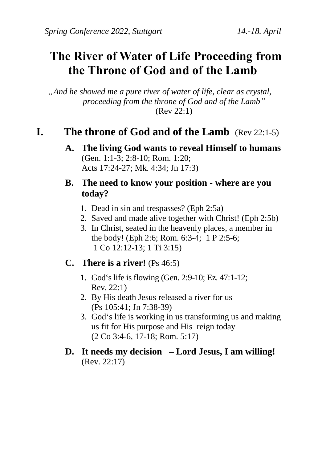# **The River of Water of Life Proceeding from the Throne of God and of the Lamb**

*"And he showed me a pure river of water of life, clear as crystal, proceeding from the throne of God and of the Lamb"*  (Rev 22:1)

# **I. The throne of God and of the Lamb** (Rev 22:1-5)

**A. The living God wants to reveal Himself to humans** (Gen. 1:1-3; 2:8-10; Rom. 1:20; Acts 17:24-27; Mk. 4:34; Jn 17:3)

#### **B. The need to know your position - where are you today?**

- 1. Dead in sin and trespasses? (Eph 2:5a)
- 2. Saved and made alive together with Christ! (Eph 2:5b)
- 3. In Christ, seated in the heavenly places, a member in the body! (Eph 2:6; Rom. 6:3-4; 1 P 2:5-6; 1 Co 12:12-13; 1 Ti 3:15)

#### **C. There is a river!** (Ps 46:5)

- 1. God's life is flowing (Gen. 2:9-10; Ez. 47:1-12; Rev. 22:1)
- 2. By His death Jesus released a river for us (Ps 105:41; Jn 7:38-39)
- 3. God's life is working in us transforming us and making us fit for His purpose and His reign today (2 Co 3:4-6, 17-18; Rom. 5:17)
- **D. It needs my decision – Lord Jesus, I am willing!**  (Rev. 22:17)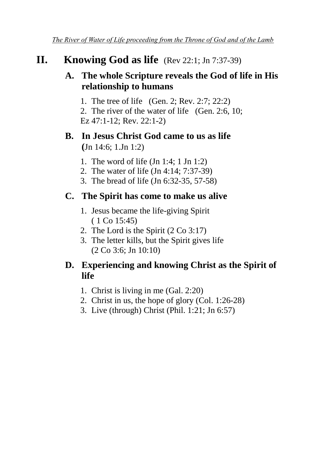# **II. Knowing God as life**  $(\text{Rev } 22:1; \text{Jn } 7:37-39)$

### **A. The whole Scripture reveals the God of life in His relationship to humans**

- 1. The tree of life (Gen. 2; Rev. 2:7; 22:2)
- 2. The river of the water of life (Gen. 2:6, 10; Ez 47:1-12; Rev. 22:1-2)

#### **B. In Jesus Christ God came to us as life (**Jn 14:6; 1.Jn 1:2)

- 1. The word of life (Jn 1:4; 1 Jn 1:2)
- 2. The water of life (Jn 4:14; 7:37-39)
- 3. The bread of life (Jn 6:32-35, 57-58)

#### **C. The Spirit has come to make us alive**

- 1. Jesus became the life-giving Spirit ( 1 Co 15:45)
- 2. The Lord is the Spirit (2 Co 3:17)
- 3. The letter kills, but the Spirit gives life (2 Co 3:6; Jn 10:10)

#### **D. Experiencing and knowing Christ as the Spirit of life**

- 1. Christ is living in me (Gal. 2:20)
- 2. Christ in us, the hope of glory (Col. 1:26-28)
- 3. Live (through) Christ (Phil. 1:21; Jn 6:57)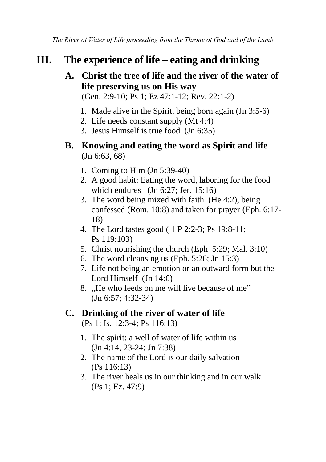# **III. The experience of life – eating and drinking**

## **A. Christ the tree of life and the river of the water of life preserving us on His way**

(Gen. 2:9-10; Ps 1; Ez 47:1-12; Rev. 22:1-2)

- 1. Made alive in the Spirit, being born again (Jn 3:5-6)
- 2. Life needs constant supply (Mt 4:4)
- 3. Jesus Himself is true food (Jn 6:35)
- **B. Knowing and eating the word as Spirit and life** (Jn 6:63, 68)
	- 1. Coming to Him (Jn 5:39-40)
	- 2. A good habit: Eating the word, laboring for the food which endures  $($ Jn 6:27; Jer. 15:16)
	- 3. The word being mixed with faith (He 4:2), being confessed (Rom. 10:8) and taken for prayer (Eph. 6:17- 18)
	- 4. The Lord tastes good ( 1 P 2:2-3; Ps 19:8-11; Ps 119:103)
	- 5. Christ nourishing the church (Eph 5:29; Mal. 3:10)
	- 6. The word cleansing us (Eph. 5:26; Jn 15:3)
	- 7. Life not being an emotion or an outward form but the Lord Himself (Jn 14:6)
	- 8. He who feeds on me will live because of me" (Jn 6:57; 4:32-34)

#### **C. Drinking of the river of water of life**

(Ps 1; Is. 12:3-4; Ps 116:13)

- 1. The spirit: a well of water of life within us (Jn 4:14, 23-24; Jn 7:38)
- 2. The name of the Lord is our daily salvation (Ps 116:13)
- 3. The river heals us in our thinking and in our walk (Ps 1; Ez. 47:9)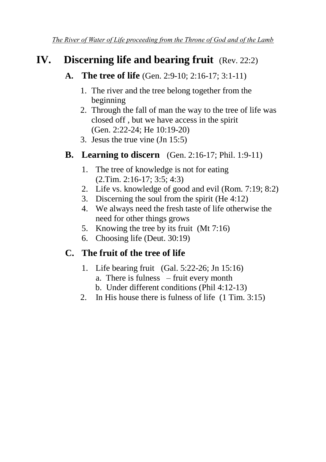# **IV. Discerning life and bearing fruit** (Rev. 22:2)

### **A. The tree of life** (Gen. 2:9-10; 2:16-17; 3:1-11)

- 1. The river and the tree belong together from the beginning
- 2. Through the fall of man the way to the tree of life was closed off , but we have access in the spirit (Gen. 2:22-24; He 10:19-20)
- 3. Jesus the true vine (Jn 15:5)

### **B. Learning to discern** (Gen. 2:16-17; Phil. 1:9-11)

- 1. The tree of knowledge is not for eating (2.Tim. 2:16-17; 3:5; 4:3)
- 2. Life vs. knowledge of good and evil (Rom. 7:19; 8:2)
- 3. Discerning the soul from the spirit (He 4:12)
- 4. We always need the fresh taste of life otherwise the need for other things grows
- 5. Knowing the tree by its fruit (Mt 7:16)
- 6. Choosing life (Deut. 30:19)

# **C. The fruit of the tree of life**

- 1. Life bearing fruit (Gal. 5:22-26; Jn 15:16)
	- a. There is fulness fruit every month
	- b. Under different conditions (Phil 4:12-13)
- 2. In His house there is fulness of life (1 Tim. 3:15)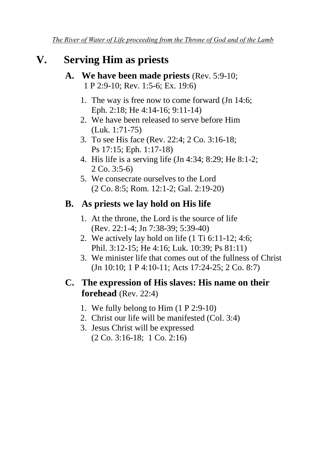# **V. Serving Him as priests**

#### **A. We have been made priests** (Rev. 5:9-10; 1 P 2:9-10; Rev. 1:5-6; Ex. 19:6)

- 1. The way is free now to come forward (Jn 14:6; Eph. 2:18; He 4:14-16; 9:11-14)
- 2. We have been released to serve before Him (Luk. 1:71-75)
- 3. To see His face (Rev. 22:4; 2 Co. 3:16-18; Ps 17:15; Eph. 1:17-18)
- 4. His life is a serving life (Jn 4:34; 8:29; He 8:1-2; 2 Co. 3:5-6)
- 5. We consecrate ourselves to the Lord (2 Co. 8:5; Rom. 12:1-2; Gal. 2:19-20)

## **B. As priests we lay hold on His life**

- 1. At the throne, the Lord is the source of life (Rev. 22:1-4; Jn 7:38-39; 5:39-40)
- 2. We actively lay hold on life (1 Ti 6:11-12; 4:6; Phil. 3:12-15; He 4:16; Luk. 10:39; Ps 81:11)
- 3. We minister life that comes out of the fullness of Christ (Jn 10:10; 1 P 4:10-11; Acts 17:24-25; 2 Co. 8:7)

### **C. The expression of His slaves: His name on their forehead** (Rev. 22:4)

- 1. We fully belong to Him (1 P 2:9-10)
- 2. Christ our life will be manifested (Col. 3:4)
- 3. Jesus Christ will be expressed (2 Co. 3:16-18; 1 Co. 2:16)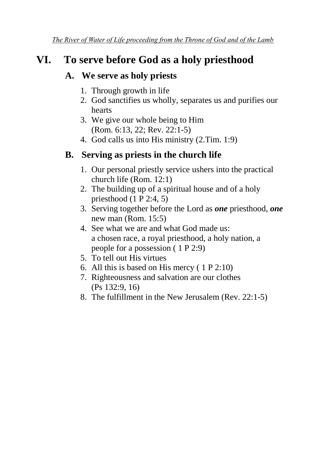# **VI. To serve before God as a holy priesthood**

### **A. We serve as holy priests**

- 1. Through growth in life
- 2. God sanctifies us wholly, separates us and purifies our hearts
- 3. We give our whole being to Him (Rom. 6:13, 22; Rev. 22:1-5)
- 4. God calls us into His ministry (2.Tim. 1:9)

## **B. Serving as priests in the church life**

- 1. Our personal priestly service ushers into the practical church life (Rom. 12:1)
- 2. The building up of a spiritual house and of a holy priesthood (1 P 2:4, 5)
- 3. Serving together before the Lord as *one* priesthood, *one* new man (Rom. 15:5)
- 4. See what we are and what God made us: a chosen race, a royal priesthood, a holy nation, a people for a possession ( 1 P 2:9)
- 5. To tell out His virtues
- 6. All this is based on His mercy ( 1 P 2:10)
- 7. Righteousness and salvation are our clothes (Ps 132:9, 16)
- 8. The fulfillment in the New Jerusalem (Rev. 22:1-5)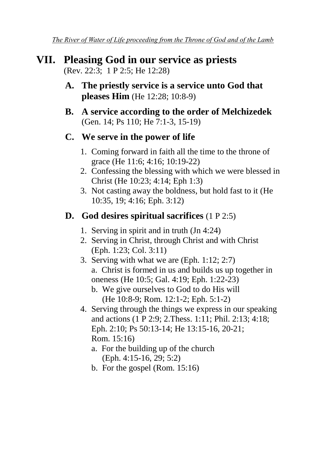### **VII. Pleasing God in our service as priests** (Rev. 22:3; 1 P 2:5; He 12:28)

- **A. The priestly service is a service unto God that pleases Him** (He 12:28; 10:8-9)
- **B. A service according to the order of Melchizedek** (Gen. 14; Ps 110; He 7:1-3, 15-19)

### **C. We serve in the power of life**

- 1. Coming forward in faith all the time to the throne of grace (He 11:6; 4:16; 10:19-22)
- 2. Confessing the blessing with which we were blessed in Christ (He 10:23; 4:14; Eph 1:3)
- 3. Not casting away the boldness, but hold fast to it (He 10:35, 19; 4:16; Eph. 3:12)

## **D. God desires spiritual sacrifices** (1 P 2:5)

- 1. Serving in spirit and in truth (Jn 4:24)
- 2. Serving in Christ, through Christ and with Christ (Eph. 1:23; Col. 3:11)
- 3. Serving with what we are (Eph. 1:12; 2:7) a. Christ is formed in us and builds us up together in oneness (He 10:5; Gal. 4:19; Eph. 1:22-23)
	- b. We give ourselves to God to do His will (He 10:8-9; Rom. 12:1-2; Eph. 5:1-2)
- 4. Serving through the things we express in our speaking and actions (1 P 2:9; 2.Thess. 1:11; Phil. 2:13; 4:18; Eph. 2:10; Ps 50:13-14; He 13:15-16, 20-21; Rom. 15:16)
	- a. For the building up of the church (Eph. 4:15-16, 29; 5:2)
	- b. For the gospel (Rom. 15:16)